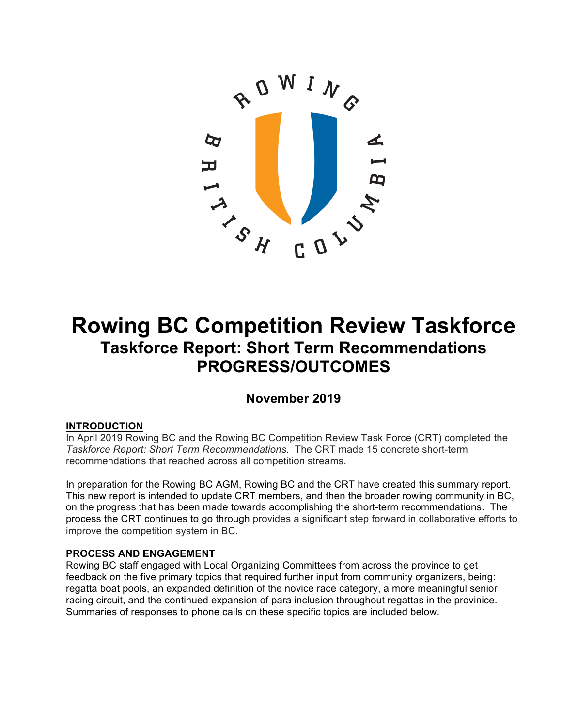

# **Rowing BC Competition Review Taskforce Taskforce Report: Short Term Recommendations PROGRESS/OUTCOMES**

# **November 2019**

# **INTRODUCTION**

In April 2019 Rowing BC and the Rowing BC Competition Review Task Force (CRT) completed the *Taskforce Report: Short Term Recommendations*. The CRT made 15 concrete short-term recommendations that reached across all competition streams.

In preparation for the Rowing BC AGM, Rowing BC and the CRT have created this summary report. This new report is intended to update CRT members, and then the broader rowing community in BC, on the progress that has been made towards accomplishing the short-term recommendations. The process the CRT continues to go through provides a significant step forward in collaborative efforts to improve the competition system in BC.

# **PROCESS AND ENGAGEMENT**

Rowing BC staff engaged with Local Organizing Committees from across the province to get feedback on the five primary topics that required further input from community organizers, being: regatta boat pools, an expanded definition of the novice race category, a more meaningful senior racing circuit, and the continued expansion of para inclusion throughout regattas in the provinice. Summaries of responses to phone calls on these specific topics are included below.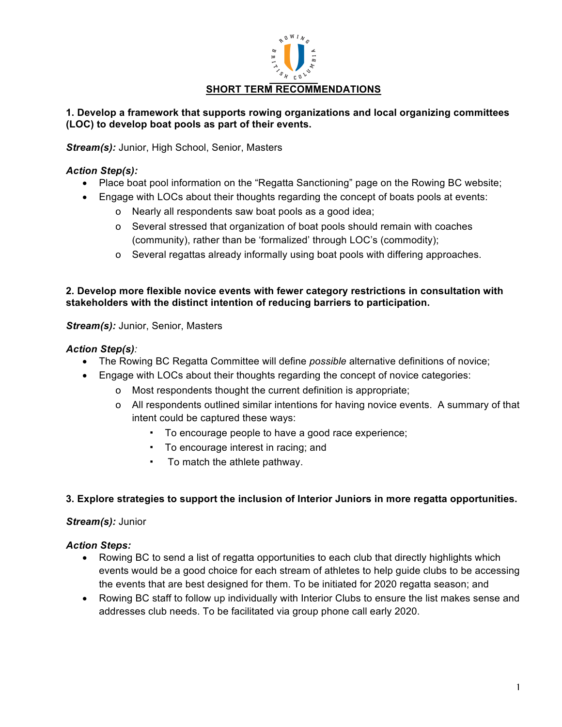

# **1. Develop a framework that supports rowing organizations and local organizing committees (LOC) to develop boat pools as part of their events.**

*Stream(s):* Junior, High School, Senior, Masters

# *Action Step(s):*

- Place boat pool information on the "Regatta Sanctioning" page on the Rowing BC website;
- Engage with LOCs about their thoughts regarding the concept of boats pools at events:
	- o Nearly all respondents saw boat pools as a good idea;
	- o Several stressed that organization of boat pools should remain with coaches (community), rather than be 'formalized' through LOC's (commodity);
	- o Several regattas already informally using boat pools with differing approaches.

# **2. Develop more flexible novice events with fewer category restrictions in consultation with stakeholders with the distinct intention of reducing barriers to participation.**

*Stream(s):* Junior, Senior, Masters

# *Action Step(s):*

- The Rowing BC Regatta Committee will define *possible* alternative definitions of novice;
- Engage with LOCs about their thoughts regarding the concept of novice categories:
	- o Most respondents thought the current definition is appropriate;
	- o All respondents outlined similar intentions for having novice events. A summary of that intent could be captured these ways:
		- To encourage people to have a good race experience;
		- To encourage interest in racing; and
		- To match the athlete pathway.

# **3. Explore strategies to support the inclusion of Interior Juniors in more regatta opportunities.**

# *Stream(s):* Junior

- Rowing BC to send a list of regatta opportunities to each club that directly highlights which events would be a good choice for each stream of athletes to help guide clubs to be accessing the events that are best designed for them. To be initiated for 2020 regatta season; and
- Rowing BC staff to follow up individually with Interior Clubs to ensure the list makes sense and addresses club needs. To be facilitated via group phone call early 2020.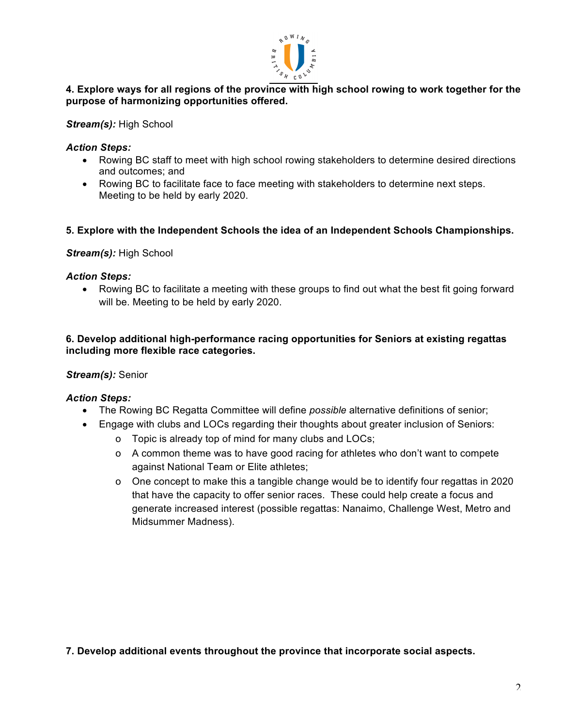

# **4. Explore ways for all regions of the province with high school rowing to work together for the purpose of harmonizing opportunities offered.**

*Stream(s):* High School

# *Action Steps:*

- Rowing BC staff to meet with high school rowing stakeholders to determine desired directions and outcomes; and
- Rowing BC to facilitate face to face meeting with stakeholders to determine next steps. Meeting to be held by early 2020.

# **5. Explore with the Independent Schools the idea of an Independent Schools Championships.**

# *Stream(s):* High School

#### *Action Steps:*

• Rowing BC to facilitate a meeting with these groups to find out what the best fit going forward will be. Meeting to be held by early 2020.

# **6. Develop additional high-performance racing opportunities for Seniors at existing regattas including more flexible race categories.**

# *Stream(s):* Senior

# *Action Steps:*

- The Rowing BC Regatta Committee will define *possible* alternative definitions of senior;
- Engage with clubs and LOCs regarding their thoughts about greater inclusion of Seniors:
	- o Topic is already top of mind for many clubs and LOCs;
	- o A common theme was to have good racing for athletes who don't want to compete against National Team or Elite athletes;
	- o One concept to make this a tangible change would be to identify four regattas in 2020 that have the capacity to offer senior races. These could help create a focus and generate increased interest (possible regattas: Nanaimo, Challenge West, Metro and Midsummer Madness).

**7. Develop additional events throughout the province that incorporate social aspects.**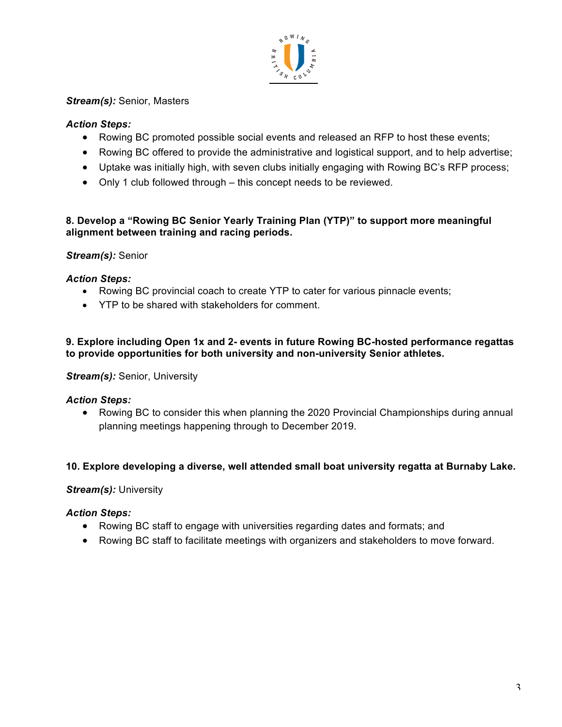

# *Stream(s):* Senior, Masters

# *Action Steps:*

- Rowing BC promoted possible social events and released an RFP to host these events;
- Rowing BC offered to provide the administrative and logistical support, and to help advertise;
- Uptake was initially high, with seven clubs initially engaging with Rowing BC's RFP process;
- Only 1 club followed through this concept needs to be reviewed.

# **8. Develop a "Rowing BC Senior Yearly Training Plan (YTP)" to support more meaningful alignment between training and racing periods.**

# *Stream(s):* Senior

# *Action Steps:*

- Rowing BC provincial coach to create YTP to cater for various pinnacle events;
- YTP to be shared with stakeholders for comment.

# **9. Explore including Open 1x and 2- events in future Rowing BC-hosted performance regattas to provide opportunities for both university and non-university Senior athletes.**

# **Stream(s): Senior, University**

# *Action Steps:*

• Rowing BC to consider this when planning the 2020 Provincial Championships during annual planning meetings happening through to December 2019.

# **10. Explore developing a diverse, well attended small boat university regatta at Burnaby Lake.**

# *Stream(s):* University

- Rowing BC staff to engage with universities regarding dates and formats; and
- Rowing BC staff to facilitate meetings with organizers and stakeholders to move forward.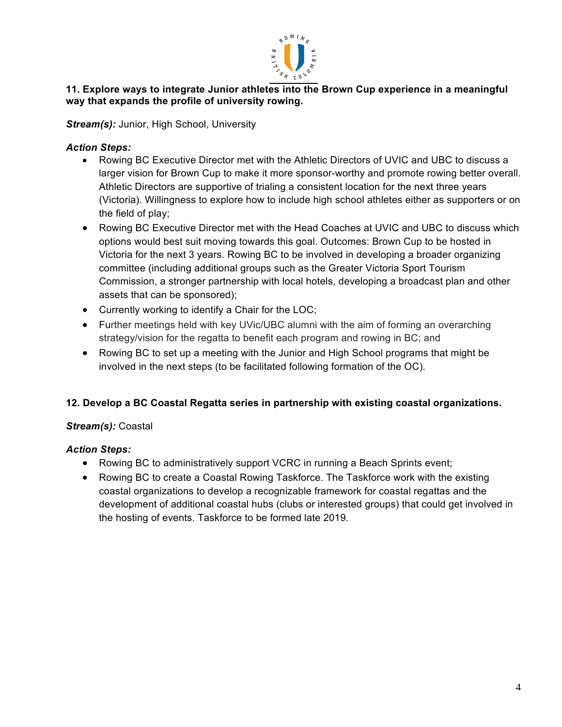

# **11. Explore ways to integrate Junior athletes into the Brown Cup experience in a meaningful way that expands the profile of university rowing.**

**Stream(s): Junior, High School, University** 

# *Action Steps:*

- Rowing BC Executive Director met with the Athletic Directors of UVIC and UBC to discuss a larger vision for Brown Cup to make it more sponsor-worthy and promote rowing better overall. Athletic Directors are supportive of trialing a consistent location for the next three years (Victoria). Willingness to explore how to include high school athletes either as supporters or on the field of play;
- Rowing BC Executive Director met with the Head Coaches at UVIC and UBC to discuss which options would best suit moving towards this goal. Outcomes: Brown Cup to be hosted in Victoria for the next 3 years. Rowing BC to be involved in developing a broader organizing committee (including additional groups such as the Greater Victoria Sport Tourism Commission, a stronger partnership with local hotels, developing a broadcast plan and other assets that can be sponsored);
- Currently working to identify a Chair for the LOC;
- Further meetings held with key UVic/UBC alumni with the aim of forming an overarching strategy/vision for the regatta to benefit each program and rowing in BC; and
- Rowing BC to set up a meeting with the Junior and High School programs that might be involved in the next steps (to be facilitated following formation of the OC).

# **12. Develop a BC Coastal Regatta series in partnership with existing coastal organizations.**

# *Stream(s):* Coastal

- Rowing BC to administratively support VCRC in running a Beach Sprints event;
- Rowing BC to create a Coastal Rowing Taskforce. The Taskforce work with the existing coastal organizations to develop a recognizable framework for coastal regattas and the development of additional coastal hubs (clubs or interested groups) that could get involved in the hosting of events. Taskforce to be formed late 2019.